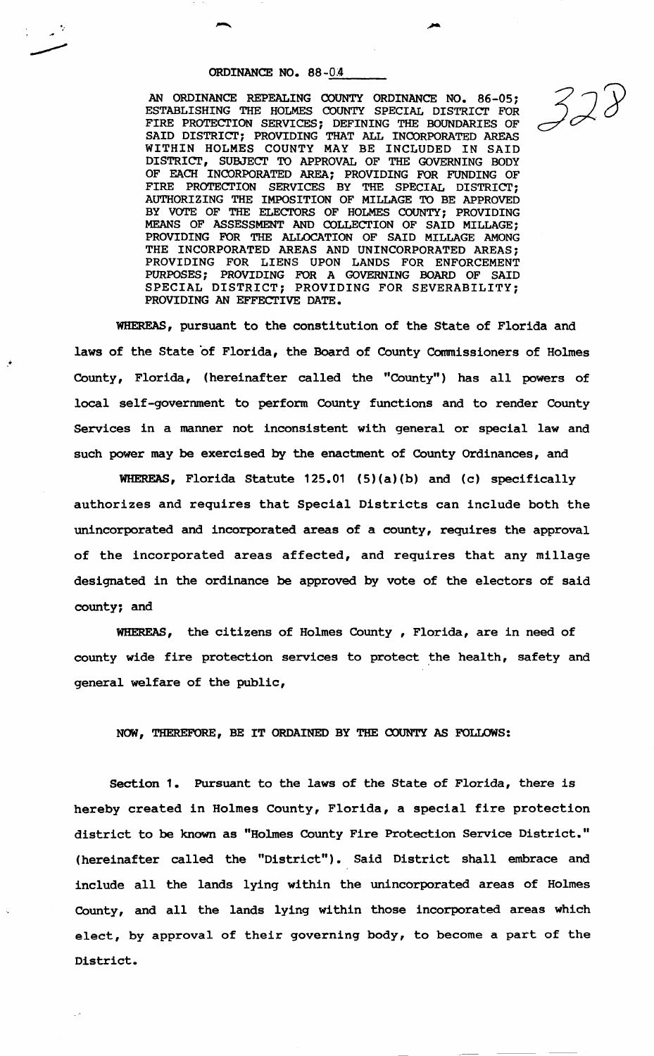...

.•

ORDINANCE NO. 88-04<br>AN ORDINANCE REPEALING COUNTY ORDINANCE NO. 86-05;<br>ESTABLISHING THE HOLMES COUNTY SPECIAL DISTRICT FOR  $\sim$ FIRE PROTECTION SERVICES; DEFINING THE BOUNDARIES OF SAID DISTRICT; PROVIDING THAT ALL INCORPORATED AREAS WITHIN HOLMES COUNTY MAY BE INCLUDED IN SAID DISTRICT, SUBJECT TO APPROVAL OF THE GOVERNING BODY OF EACH INCORPORATED AREA; PROVIDING FOR FUNDING OF FIRE PROTECTION SERVICES BY THE SPECIAL DISTRICT; AUTHORIZING THE IMPOSITION OF MILLAGE TO BE APPROVED BY VOTE OF THE ELECTORS OF HOLMES COUNTY; PROVIDING MEANS OF ASSESSMENT AND COLLECTION OF SAID MILLAGE; PROVIDING FOR THE ALLOCATION OF SAID MILLAGE AMONG THE INCORPORATED AREAS AND UNINCORPORATED AREAS; PROVIDING FOR LIENS UPON LANDS FOR ENFORCEMENT PURPOSES; PROVIDING FOR A GOVERNING BOARD OF SAID SPECIAL DISTRICT; PROVIDING FOR SEVERABILITY; PROVIDING AN EFFECTIVE DATE.

WHEREAS, pursuant to the constitution of the State of Florida and laws of the State of Florida, the Board of County Commissioners of Holmes County, Florida, (hereinafter called the "County") has all powers of local self-government to perform County functions and to render County Services in a manner not inconsistent with general or special law and such power may be exercised by the enactment of County Ordinances, and

WHEREAS, Florida Statute 125.01 {5){a)(b) and (c) specifically authorizes and requires that Special Districts can include both the unincorporated and incorporated areas of a county, requires the approval of the incorporated areas affected, and requires that any millage designated in the ordinance be approved by vote of the electors of said county; and

WHEREAS, the citizens of Holmes County , Florida, are in need of county wide fire protection services to protect the health, safety and general welfare of the public,

NOW, THEREFORE, BE IT ORDAINED BY THE COUNTY AS FOLLOWS:

Section 1. Pursuant to the laws of the State of Florida, there is hereby created in Holmes County, Florida, a special fire protection district to be known as "Holmes County Fire Protection Service District." (hereinafter called the "District"). Said District shall embrace and include all the lands lying within the unincorporated areas of Holmes County, and all the lands lying within those incorporated areas which elect, by approval of their governing body, to become a part of the District.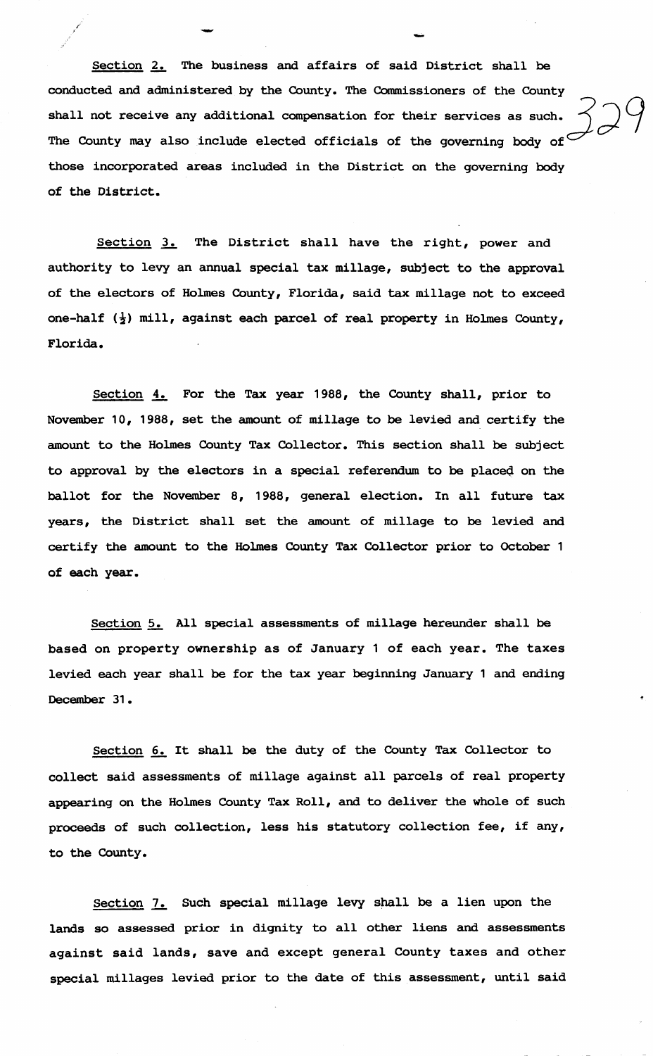Section 2. The business and affairs of said District shall be conducted and administered by the County. The Commissioners of the County shall not receive any additional compensation for their services as such. The County may also include elected officials of the governing body of those incorporated areas included in the District on the governing body of the District.

-

Section 3. The District shall have the right, power and authority to levy an annual special tax millage, subject to the approval of the electors of Holmes County, Florida, said tax millage not to exceed one-half  $(\frac{1}{2})$  mill, against each parcel of real property in Holmes County, Florida.

Section 4. For the Tax year 1988, the County shall, prior to November 10, 1988, set the amount of millage to be levied and certify the amount to the Holmes County Tax Collector. This section shall be subject to approval by the electors in a special referendum to be placeQ on the ballot for the November 8, 1988, general election. In all future tax years, the District shall set the amount of millage to be levied and certify the amount to the Holmes County Tax Collector prior to October 1 of each year.

Section 5. All special assessments of millage hereunder shall be based on property ownership as of January 1 of each year. The taxes levied each year shall be for the tax year beginning January 1 and ending December 31.

Section 6. It shall be the duty of the County Tax Collector to collect said assessments of millage against all parcels of real property appearing on the Holmes County Tax Roll, and to deliver the whole of such proceeds of such collection, less his statutory collection fee, if any, to the County.

Section 7. Such special millage levy shall be a lien upon the lands so assessed prior in dignity to all other liens and assessments against said lands, save and except general County taxes and other special millages levied prior to the date of this assessment, until said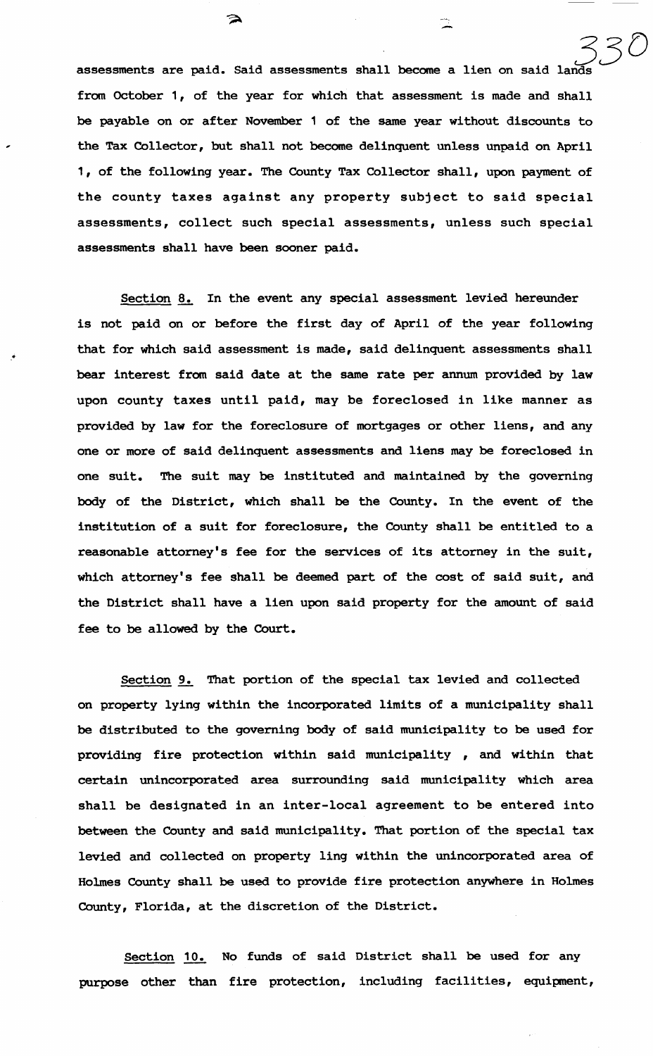assessments are paid. Said assessments shall become a lien on said lands *33D*  from October 1, of the year for which that assessment is made and shall be payable on or after November 1 of the same year without discounts to the Tax Collector, but shall not become delinquent unless unpaid on April 1, of the following year. The County Tax Collector shall, upon payment of the county taxes against any property subject to said special assessments, collect such special assessments, unless such special assessments shall have been sooner paid.

∍

Section 8. In the event any special assessment levied hereunder is not paid on or before the first day of April of the year following that for which said assessment is made, said delinquent assessments shall bear interest from said date at the same rate per annum provided by law upon county taxes until paid, may be foreclosed in like manner as provided by law for the foreclosure of mortgages or other liens, and any one or more of said delinquent assessments and liens may be foreclosed in one suit. The suit may be instituted and maintained by the governing body of the District, which shall be the County. In the event of the institution of a suit for foreclosure, the County shall be entitled to a reasonable attorney's fee for the services of its attorney in the suit, which attorney's fee shall be deemed part of the cost of said suit, and the District shall have a lien upon said property for the amount of said fee to be allowed by the Court.

...

Section 9. That portion of the special tax levied and collected on property lying within the incorporated limits of a municipality shall be distributed to the governing body of said municipality to be used for providing fire protection within said municipality , and within that certain unincorporated area surrounding said municipality which area shall be designated in an inter-local agreement to be entered into between the County and said municipality. That portion of the special tax levied and collected on property ling within the unincorporated area of Holmes County shall be used to provide fire protection anywhere in Holmes County, Florida, at the discretion of the District.

Section 10. No funds of said District shall be used for any purpose other than fire protection, including facilities, equipment,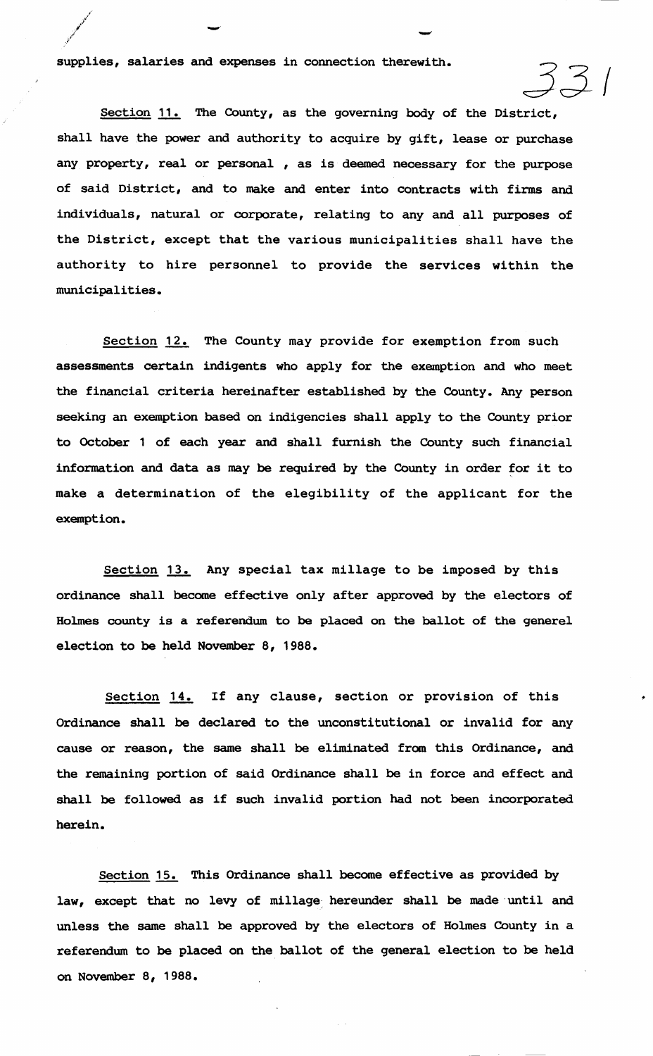supplies, salaries and expenses in connection therewith.

Section 11. The County, as the governing body of the District, shall have the power and authority to acquire by gift, lease or purchase any property, real or personal , as is deemed necessary for the purpose of said District, and to make and enter into contracts with firms and individuals, natural or corporate, relating to any and all purposes of the District, except that the various municipalities shall have the authority to hire personnel to provide the services within the municipalities.

-

Section 12. The County may provide for exemption from such assessments certain indigents who apply for the exemption and who meet the financial criteria hereinafter established by the County. Any person seeking an exemption based on indigencies shall apply to the County prior to October 1 of each year and shall furnish the County such financial information and data as may be required by the County in order for it to make a determination of the elegibility of the applicant for the exemption.

Section 13. Any special tax millage to be imposed by this ordinance shall become effective only after approved by the electors of Holmes county is a referendum to be placed on the ballot of the generel election to be held November 8, 1988.

Section 14. If any clause, section or provision of this Ordinance shall be declared to the unconstitutional or invalid for any cause or reason, the same shall be eliminated from this Ordinance, and the remaining portion of said Ordinance shall be in force and effect and shall be followed as if such invalid portion had not been incorporated herein.

Section 15. This Ordinance shall become effective as provided by law, except that no levy of millage hereunder shall be made until and unless the same shall be approved by the electors of Holmes County in a referendum to be placed on the ballot of the general election to be held on November 8, 1988.